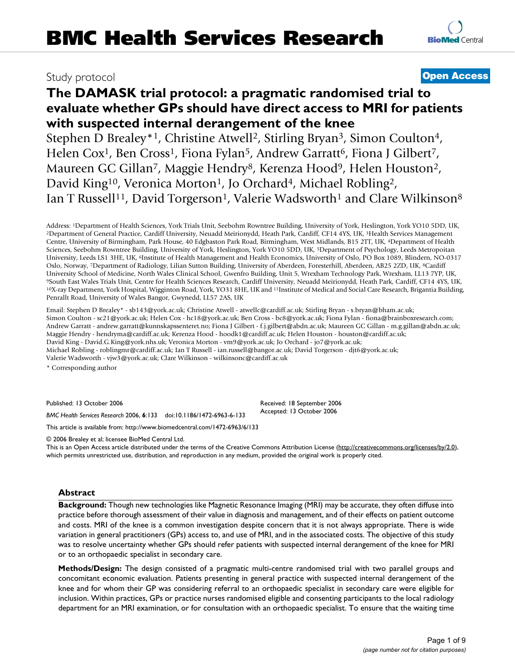## Study protocol **[Open Access](http://www.biomedcentral.com/info/about/charter/)**

# **The DAMASK trial protocol: a pragmatic randomised trial to evaluate whether GPs should have direct access to MRI for patients with suspected internal derangement of the knee**

Stephen D Brealey\*<sup>1</sup>, Christine Atwell<sup>2</sup>, Stirling Bryan<sup>3</sup>, Simon Coulton<sup>4</sup>, Helen Cox<sup>1</sup>, Ben Cross<sup>1</sup>, Fiona Fylan<sup>5</sup>, Andrew Garratt<sup>6</sup>, Fiona J Gilbert<sup>7</sup>, Maureen GC Gillan<sup>7</sup>, Maggie Hendry<sup>8</sup>, Kerenza Hood<sup>9</sup>, Helen Houston<sup>2</sup>, David King<sup>10</sup>, Veronica Morton<sup>1</sup>, Jo Orchard<sup>4</sup>, Michael Robling<sup>2</sup>, Ian T Russell<sup>11</sup>, David Torgerson<sup>1</sup>, Valerie Wadsworth<sup>1</sup> and Clare Wilkinson<sup>8</sup>

Address: <sup>1</sup>Department of Health Sciences, York Trials Unit, Seebohm Rowntree Building, University of York, Heslington, York YO10 5DD, UK, <sup>2</sup>Department of General Practice, Cardiff University, Neuadd Meirionydd, Heath Par Centre, University of Birmingham, Park House, 40 Edgbaston Park Road, Birmingham, West Midlands, B15 2TT, UK, 4Department of Health Sciences, Seebohm Rowntree Building, University of York, Heslington, York YO10 5DD, UK, 5Department of Psychology, Leeds Metropoitan University, Leeds LS1 3HE, UK, 6Institute of Health Management and Health Economics, University of Oslo, PO Box 1089, Blindern, NO-0317 Oslo, Norway, 7Department of Radiology, Lilian Sutton Building, University of Aberdeen, Foresterhill, Aberdeen, AB25 2ZD, UK, 8Cardiff University School of Medicine, North Wales Clinical School, Gwenfro Building, Unit 5, Wrexham Technology Park, Wrexham, LL13 7YP, UK,<br><sup>9</sup>South East Wales Trials Unit, Centre for Health Sciences Research, Cardiff University Penrallt Road, University of Wales Bangor, Gwynedd, LL57 2AS, UK

Email: Stephen D Brealey\* - sb143@york.ac.uk; Christine Atwell - atwellc@cardiff.ac.uk; Stirling Bryan - s.bryan@bham.ac.uk; Simon Coulton - sc21@york.ac.uk; Helen Cox - hc18@york.ac.uk; Ben Cross - bc8@york.ac.uk; Fiona Fylan - fiona@brainboxresearch.com; Andrew Garratt - andrew.garratt@kunnskapssenteret.no; Fiona J Gilbert - f.j.gilbert@abdn.ac.uk; Maureen GC Gillan - m.g.gillan@abdn.ac.uk; Maggie Hendry - hendryma@cardiff.ac.uk; Kerenza Hood - hoodk1@cardiff.ac.uk; Helen Houston - houston@cardiff.ac.uk; David King - David.G.King@york.nhs.uk; Veronica Morton - vm9@york.ac.uk; Jo Orchard - jo7@york.ac.uk; Michael Robling - roblingmr@cardiff.ac.uk; Ian T Russell - ian.russell@bangor.ac.uk; David Torgerson - djt6@york.ac.uk; Valerie Wadsworth - vjw3@york.ac.uk; Clare Wilkinson - wilkinsonc@cardiff.ac.uk

\* Corresponding author

Published: 13 October 2006

Received: 18 September 2006 Accepted: 13 October 2006

*BMC Health Services Research* 2006, **6**:133 doi:10.1186/1472-6963-6-133 [This article is available from: http://www.biomedcentral.com/1472-6963/6/133](http://www.biomedcentral.com/1472-6963/6/133)

© 2006 Brealey et al; licensee BioMed Central Ltd.

This is an Open Access article distributed under the terms of the Creative Commons Attribution License [\(http://creativecommons.org/licenses/by/2.0\)](http://creativecommons.org/licenses/by/2.0), which permits unrestricted use, distribution, and reproduction in any medium, provided the original work is properly cited.

## **Abstract**

**Background:** Though new technologies like Magnetic Resonance Imaging (MRI) may be accurate, they often diffuse into practice before thorough assessment of their value in diagnosis and management, and of their effects on patient outcome and costs. MRI of the knee is a common investigation despite concern that it is not always appropriate. There is wide variation in general practitioners (GPs) access to, and use of MRI, and in the associated costs. The objective of this study was to resolve uncertainty whether GPs should refer patients with suspected internal derangement of the knee for MRI or to an orthopaedic specialist in secondary care.

**Methods/Design:** The design consisted of a pragmatic multi-centre randomised trial with two parallel groups and concomitant economic evaluation. Patients presenting in general practice with suspected internal derangement of the knee and for whom their GP was considering referral to an orthopaedic specialist in secondary care were eligible for inclusion. Within practices, GPs or practice nurses randomised eligible and consenting participants to the local radiology department for an MRI examination, or for consultation with an orthopaedic specialist. To ensure that the waiting time

**[BioMed](http://www.biomedcentral.com/)** Central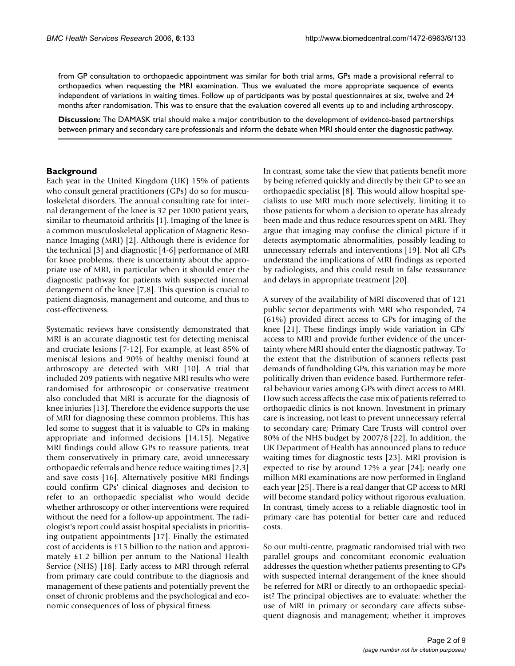from GP consultation to orthopaedic appointment was similar for both trial arms, GPs made a provisional referral to orthopaedics when requesting the MRI examination. Thus we evaluated the more appropriate sequence of events independent of variations in waiting times. Follow up of participants was by postal questionnaires at six, twelve and 24 months after randomisation. This was to ensure that the evaluation covered all events up to and including arthroscopy.

**Discussion:** The DAMASK trial should make a major contribution to the development of evidence-based partnerships between primary and secondary care professionals and inform the debate when MRI should enter the diagnostic pathway.

## **Background**

Each year in the United Kingdom (UK) 15% of patients who consult general practitioners (GPs) do so for musculoskeletal disorders. The annual consulting rate for internal derangement of the knee is 32 per 1000 patient years, similar to rheumatoid arthritis [1]. Imaging of the knee is a common musculoskeletal application of Magnetic Resonance Imaging (MRI) [2]. Although there is evidence for the technical [3] and diagnostic [4-6] performance of MRI for knee problems, there is uncertainty about the appropriate use of MRI, in particular when it should enter the diagnostic pathway for patients with suspected internal derangement of the knee [7,8]. This question is crucial to patient diagnosis, management and outcome, and thus to cost-effectiveness.

Systematic reviews have consistently demonstrated that MRI is an accurate diagnostic test for detecting meniscal and cruciate lesions [7-12]. For example, at least 85% of meniscal lesions and 90% of healthy menisci found at arthroscopy are detected with MRI [10]. A trial that included 209 patients with negative MRI results who were randomised for arthroscopic or conservative treatment also concluded that MRI is accurate for the diagnosis of knee injuries [13]. Therefore the evidence supports the use of MRI for diagnosing these common problems. This has led some to suggest that it is valuable to GPs in making appropriate and informed decisions [14,15]. Negative MRI findings could allow GPs to reassure patients, treat them conservatively in primary care, avoid unnecessary orthopaedic referrals and hence reduce waiting times [2,3] and save costs [16]. Alternatively positive MRI findings could confirm GPs' clinical diagnoses and decision to refer to an orthopaedic specialist who would decide whether arthroscopy or other interventions were required without the need for a follow-up appointment. The radiologist's report could assist hospital specialists in prioritising outpatient appointments [17]. Finally the estimated cost of accidents is £15 billion to the nation and approximately £1.2 billion per annum to the National Health Service (NHS) [18]. Early access to MRI through referral from primary care could contribute to the diagnosis and management of these patients and potentially prevent the onset of chronic problems and the psychological and economic consequences of loss of physical fitness.

In contrast, some take the view that patients benefit more by being referred quickly and directly by their GP to see an orthopaedic specialist [8]. This would allow hospital specialists to use MRI much more selectively, limiting it to those patients for whom a decision to operate has already been made and thus reduce resources spent on MRI. They argue that imaging may confuse the clinical picture if it detects asymptomatic abnormalities, possibly leading to unnecessary referrals and interventions [19]. Not all GPs understand the implications of MRI findings as reported by radiologists, and this could result in false reassurance and delays in appropriate treatment [20].

A survey of the availability of MRI discovered that of 121 public sector departments with MRI who responded, 74 (61%) provided direct access to GPs for imaging of the knee [21]. These findings imply wide variation in GPs' access to MRI and provide further evidence of the uncertainty where MRI should enter the diagnostic pathway. To the extent that the distribution of scanners reflects past demands of fundholding GPs, this variation may be more politically driven than evidence based. Furthermore referral behaviour varies among GPs with direct access to MRI. How such access affects the case mix of patients referred to orthopaedic clinics is not known. Investment in primary care is increasing, not least to prevent unnecessary referral to secondary care; Primary Care Trusts will control over 80% of the NHS budget by 2007/8 [22]. In addition, the UK Department of Health has announced plans to reduce waiting times for diagnostic tests [23]. MRI provision is expected to rise by around 12% a year [24]; nearly one million MRI examinations are now performed in England each year [25]. There is a real danger that GP access to MRI will become standard policy without rigorous evaluation. In contrast, timely access to a reliable diagnostic tool in primary care has potential for better care and reduced costs.

So our multi-centre, pragmatic randomised trial with two parallel groups and concomitant economic evaluation addresses the question whether patients presenting to GPs with suspected internal derangement of the knee should be referred for MRI or directly to an orthopaedic specialist? The principal objectives are to evaluate: whether the use of MRI in primary or secondary care affects subsequent diagnosis and management; whether it improves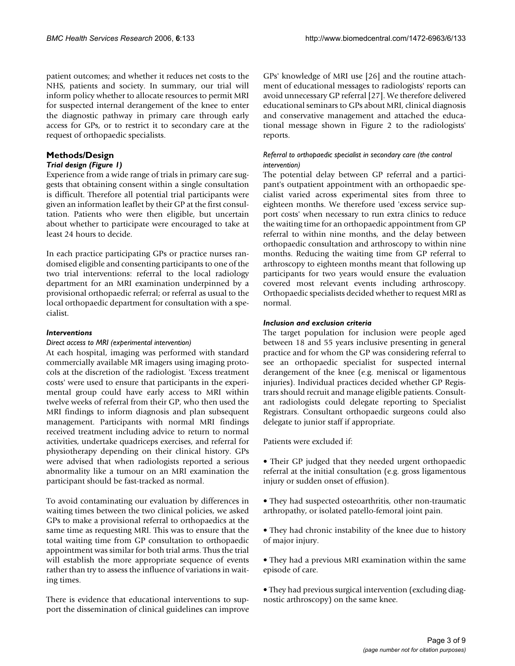patient outcomes; and whether it reduces net costs to the NHS, patients and society. In summary, our trial will inform policy whether to allocate resources to permit MRI for suspected internal derangement of the knee to enter the diagnostic pathway in primary care through early access for GPs, or to restrict it to secondary care at the request of orthopaedic specialists.

## **Methods/Design**

## *Trial design (Figure 1)*

Experience from a wide range of trials in primary care suggests that obtaining consent within a single consultation is difficult. Therefore all potential trial participants were given an information leaflet by their GP at the first consultation. Patients who were then eligible, but uncertain about whether to participate were encouraged to take at least 24 hours to decide.

In each practice participating GPs or practice nurses randomised eligible and consenting participants to one of the two trial interventions: referral to the local radiology department for an MRI examination underpinned by a provisional orthopaedic referral; or referral as usual to the local orthopaedic department for consultation with a specialist.

## *Interventions*

## *Direct access to MRI (experimental intervention)*

At each hospital, imaging was performed with standard commercially available MR imagers using imaging protocols at the discretion of the radiologist. 'Excess treatment costs' were used to ensure that participants in the experimental group could have early access to MRI within twelve weeks of referral from their GP, who then used the MRI findings to inform diagnosis and plan subsequent management. Participants with normal MRI findings received treatment including advice to return to normal activities, undertake quadriceps exercises, and referral for physiotherapy depending on their clinical history. GPs were advised that when radiologists reported a serious abnormality like a tumour on an MRI examination the participant should be fast-tracked as normal.

To avoid contaminating our evaluation by differences in waiting times between the two clinical policies, we asked GPs to make a provisional referral to orthopaedics at the same time as requesting MRI. This was to ensure that the total waiting time from GP consultation to orthopaedic appointment was similar for both trial arms. Thus the trial will establish the more appropriate sequence of events rather than try to assess the influence of variations in waiting times.

There is evidence that educational interventions to support the dissemination of clinical guidelines can improve GPs' knowledge of MRI use [26] and the routine attachment of educational messages to radiologists' reports can avoid unnecessary GP referral [27]. We therefore delivered educational seminars to GPs about MRI, clinical diagnosis and conservative management and attached the educational message shown in Figure 2 to the radiologists' reports.

## *Referral to orthopaedic specialist in secondary care (the control intervention)*

The potential delay between GP referral and a participant's outpatient appointment with an orthopaedic specialist varied across experimental sites from three to eighteen months. We therefore used 'excess service support costs' when necessary to run extra clinics to reduce the waiting time for an orthopaedic appointment from GP referral to within nine months, and the delay between orthopaedic consultation and arthroscopy to within nine months. Reducing the waiting time from GP referral to arthroscopy to eighteen months meant that following up participants for two years would ensure the evaluation covered most relevant events including arthroscopy. Orthopaedic specialists decided whether to request MRI as normal.

## *Inclusion and exclusion criteria*

The target population for inclusion were people aged between 18 and 55 years inclusive presenting in general practice and for whom the GP was considering referral to see an orthopaedic specialist for suspected internal derangement of the knee (e.g. meniscal or ligamentous injuries). Individual practices decided whether GP Registrars should recruit and manage eligible patients. Consultant radiologists could delegate reporting to Specialist Registrars. Consultant orthopaedic surgeons could also delegate to junior staff if appropriate.

Patients were excluded if:

• Their GP judged that they needed urgent orthopaedic referral at the initial consultation (e.g. gross ligamentous injury or sudden onset of effusion).

- They had suspected osteoarthritis, other non-traumatic arthropathy, or isolated patello-femoral joint pain.
- They had chronic instability of the knee due to history of major injury.
- They had a previous MRI examination within the same episode of care.
- They had previous surgical intervention (excluding diagnostic arthroscopy) on the same knee.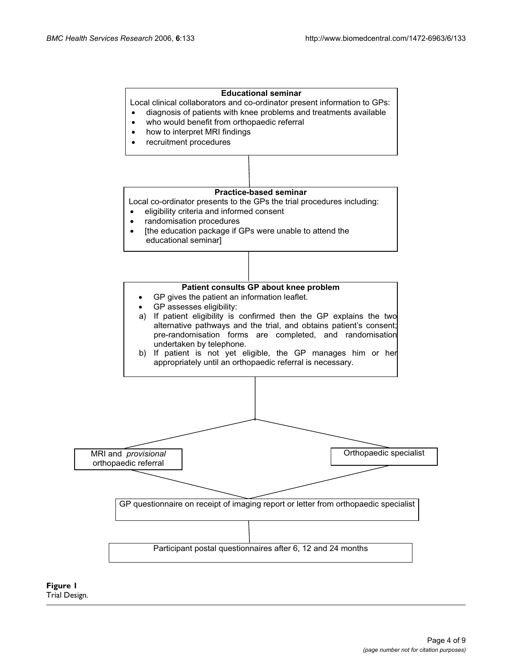## **Educational seminar**

Local clinical collaborators and co-ordinator present information to GPs:

- diagnosis of patients with knee problems and treatments available
- who would benefit from orthopaedic referral
- how to interpret MRI findings
- recruitment procedures

## **Practice-based seminar**

Local co-ordinator presents to the GPs the trial procedures including:

- eligibility criteria and informed consent
- randomisation procedures
- [the education package if GPs were unable to attend the educational seminar]



- GP gives the patient an information leaflet.
- GP assesses eligibility:
- a) If patient eligibility is confirmed then the GP explains the two alternative pathways and the trial, and obtains patient's consent; pre-randomisation forms are completed, and randomisation undertaken by telephone.
- b) If patient is not yet eligible, the GP manages him or her appropriately until an orthopaedic referral is necessary.



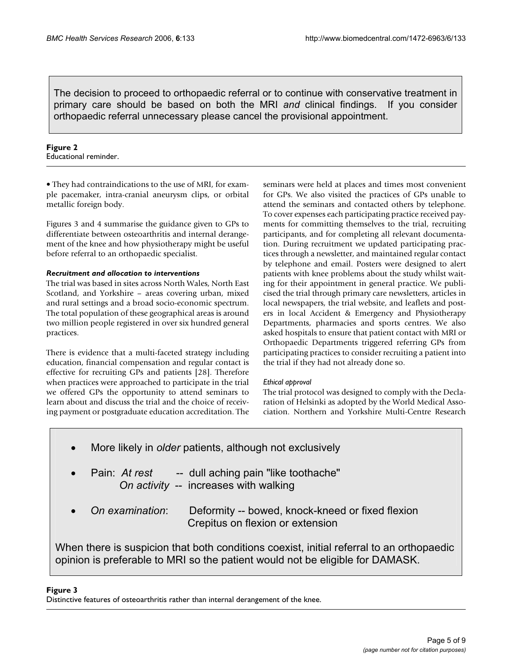The decision to proceed to orthopaedic referral or to continue with conservative treatment in primary care should be based on both the MRI *and* clinical findings. If you consider orthopaedic referral unnecessary please cancel the provisional appointment.

#### **Figure 2** Educational reminder.

metallic foreign body.

• They had contraindications to the use of MRI, for example pacemaker, intra-cranial aneurysm clips, or orbital

Figures 3 and 4 summarise the guidance given to GPs to differentiate between osteoarthritis and internal derangement of the knee and how physiotherapy might be useful before referral to an orthopaedic specialist.

## *Recruitment and allocation to interventions*

The trial was based in sites across North Wales, North East Scotland, and Yorkshire – areas covering urban, mixed and rural settings and a broad socio-economic spectrum. The total population of these geographical areas is around two million people registered in over six hundred general practices.

There is evidence that a multi-faceted strategy including education, financial compensation and regular contact is effective for recruiting GPs and patients [28]. Therefore when practices were approached to participate in the trial we offered GPs the opportunity to attend seminars to learn about and discuss the trial and the choice of receiving payment or postgraduate education accreditation. The seminars were held at places and times most convenient for GPs. We also visited the practices of GPs unable to attend the seminars and contacted others by telephone. To cover expenses each participating practice received payments for committing themselves to the trial, recruiting participants, and for completing all relevant documentation. During recruitment we updated participating practices through a newsletter, and maintained regular contact by telephone and email. Posters were designed to alert patients with knee problems about the study whilst waiting for their appointment in general practice. We publicised the trial through primary care newsletters, articles in local newspapers, the trial website, and leaflets and posters in local Accident & Emergency and Physiotherapy Departments, pharmacies and sports centres. We also asked hospitals to ensure that patient contact with MRI or Orthopaedic Departments triggered referring GPs from participating practices to consider recruiting a patient into the trial if they had not already done so.

## *Ethical approval*

The trial protocol was designed to comply with the Declaration of Helsinki as adopted by the World Medical Association. Northern and Yorkshire Multi-Centre Research

x More likely in *older* patients, although not exclusively Pain: At rest -- dull aching pain "like toothache" *On activity* -- increases with walking x *On examination*: Deformity -- bowed, knock-kneed or fixed flexion Crepitus on flexion or extension When there is suspicion that both conditions coexist, initial referral to an orthopaedic opinion is preferable to MRI so the patient would not be eligible for DAMASK.

Distinctive features of oste **Figure 3** oarthritis rather than internal derangement of the knee

Distinctive features of osteoarthritis rather than internal derangement of the knee.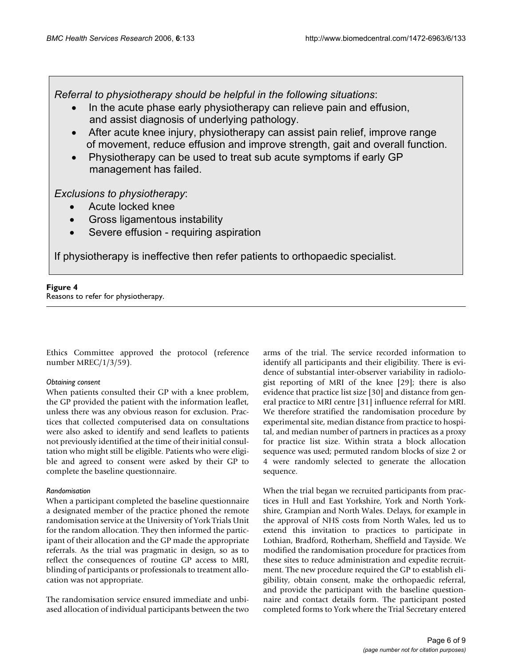*Referral to physiotherapy should be helpful in the following situations*:

- In the acute phase early physiotherapy can relieve pain and effusion, and assist diagnosis of underlying pathology.
- After acute knee injury, physiotherapy can assist pain relief, improve range of movement, reduce effusion and improve strength, gait and overall function.
- Physiotherapy can be used to treat sub acute symptoms if early GP management has failed.

## *Exclusions to physiotherapy*:

- Acute locked knee
- Gross ligamentous instability
- Severe effusion requiring aspiration

If physiotherapy is ineffective then refer patients to orthopaedic specialist.

## **Figure 4**

Reasons to refer for physiotherapy.

Ethics Committee approved the protocol (reference number MREC/1/3/59).

## *Obtaining consent*

When patients consulted their GP with a knee problem, the GP provided the patient with the information leaflet, unless there was any obvious reason for exclusion. Practices that collected computerised data on consultations were also asked to identify and send leaflets to patients not previously identified at the time of their initial consultation who might still be eligible. Patients who were eligible and agreed to consent were asked by their GP to complete the baseline questionnaire.

## *Randomisation*

When a participant completed the baseline questionnaire a designated member of the practice phoned the remote randomisation service at the University of York Trials Unit for the random allocation. They then informed the participant of their allocation and the GP made the appropriate referrals. As the trial was pragmatic in design, so as to reflect the consequences of routine GP access to MRI, blinding of participants or professionals to treatment allocation was not appropriate.

The randomisation service ensured immediate and unbiased allocation of individual participants between the two arms of the trial. The service recorded information to identify all participants and their eligibility. There is evidence of substantial inter-observer variability in radiologist reporting of MRI of the knee [29]; there is also evidence that practice list size [30] and distance from general practice to MRI centre [31] influence referral for MRI. We therefore stratified the randomisation procedure by experimental site, median distance from practice to hospital, and median number of partners in practices as a proxy for practice list size. Within strata a block allocation sequence was used; permuted random blocks of size 2 or 4 were randomly selected to generate the allocation sequence.

When the trial began we recruited participants from practices in Hull and East Yorkshire, York and North Yorkshire, Grampian and North Wales. Delays, for example in the approval of NHS costs from North Wales, led us to extend this invitation to practices to participate in Lothian, Bradford, Rotherham, Sheffield and Tayside. We modified the randomisation procedure for practices from these sites to reduce administration and expedite recruitment. The new procedure required the GP to establish eligibility, obtain consent, make the orthopaedic referral, and provide the participant with the baseline questionnaire and contact details form. The participant posted completed forms to York where the Trial Secretary entered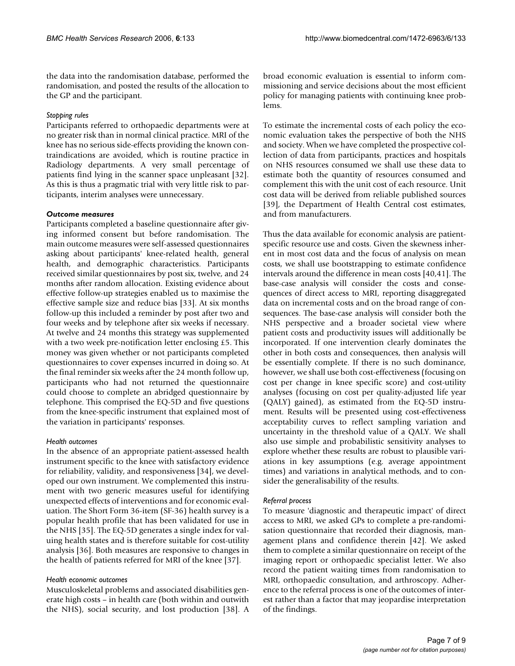the data into the randomisation database, performed the randomisation, and posted the results of the allocation to the GP and the participant.

## *Stopping rules*

Participants referred to orthopaedic departments were at no greater risk than in normal clinical practice. MRI of the knee has no serious side-effects providing the known contraindications are avoided, which is routine practice in Radiology departments. A very small percentage of patients find lying in the scanner space unpleasant [32]. As this is thus a pragmatic trial with very little risk to participants, interim analyses were unnecessary.

## *Outcome measures*

Participants completed a baseline questionnaire after giving informed consent but before randomisation. The main outcome measures were self-assessed questionnaires asking about participants' knee-related health, general health, and demographic characteristics. Participants received similar questionnaires by post six, twelve, and 24 months after random allocation. Existing evidence about effective follow-up strategies enabled us to maximise the effective sample size and reduce bias [33]. At six months follow-up this included a reminder by post after two and four weeks and by telephone after six weeks if necessary. At twelve and 24 months this strategy was supplemented with a two week pre-notification letter enclosing £5. This money was given whether or not participants completed questionnaires to cover expenses incurred in doing so. At the final reminder six weeks after the 24 month follow up, participants who had not returned the questionnaire could choose to complete an abridged questionnaire by telephone. This comprised the EQ-5D and five questions from the knee-specific instrument that explained most of the variation in participants' responses.

## *Health outcomes*

In the absence of an appropriate patient-assessed health instrument specific to the knee with satisfactory evidence for reliability, validity, and responsiveness [34], we developed our own instrument. We complemented this instrument with two generic measures useful for identifying unexpected effects of interventions and for economic evaluation. The Short Form 36-item (SF-36) health survey is a popular health profile that has been validated for use in the NHS [35]. The EQ-5D generates a single index for valuing health states and is therefore suitable for cost-utility analysis [36]. Both measures are responsive to changes in the health of patients referred for MRI of the knee [37].

## *Health economic outcomes*

Musculoskeletal problems and associated disabilities generate high costs – in health care (both within and outwith the NHS), social security, and lost production [38]. A broad economic evaluation is essential to inform commissioning and service decisions about the most efficient policy for managing patients with continuing knee problems.

To estimate the incremental costs of each policy the economic evaluation takes the perspective of both the NHS and society. When we have completed the prospective collection of data from participants, practices and hospitals on NHS resources consumed we shall use these data to estimate both the quantity of resources consumed and complement this with the unit cost of each resource. Unit cost data will be derived from reliable published sources [39], the Department of Health Central cost estimates, and from manufacturers.

Thus the data available for economic analysis are patientspecific resource use and costs. Given the skewness inherent in most cost data and the focus of analysis on mean costs, we shall use bootstrapping to estimate confidence intervals around the difference in mean costs [40,41]. The base-case analysis will consider the costs and consequences of direct access to MRI, reporting disaggregated data on incremental costs and on the broad range of consequences. The base-case analysis will consider both the NHS perspective and a broader societal view where patient costs and productivity issues will additionally be incorporated. If one intervention clearly dominates the other in both costs and consequences, then analysis will be essentially complete. If there is no such dominance, however, we shall use both cost-effectiveness (focusing on cost per change in knee specific score) and cost-utility analyses (focusing on cost per quality-adjusted life year (QALY) gained), as estimated from the EQ-5D instrument. Results will be presented using cost-effectiveness acceptability curves to reflect sampling variation and uncertainty in the threshold value of a QALY. We shall also use simple and probabilistic sensitivity analyses to explore whether these results are robust to plausible variations in key assumptions (e.g. average appointment times) and variations in analytical methods, and to consider the generalisability of the results.

## *Referral process*

To measure 'diagnostic and therapeutic impact' of direct access to MRI, we asked GPs to complete a pre-randomisation questionnaire that recorded their diagnosis, management plans and confidence therein [42]. We asked them to complete a similar questionnaire on receipt of the imaging report or orthopaedic specialist letter. We also record the patient waiting times from randomisation to MRI, orthopaedic consultation, and arthroscopy. Adherence to the referral process is one of the outcomes of interest rather than a factor that may jeopardise interpretation of the findings.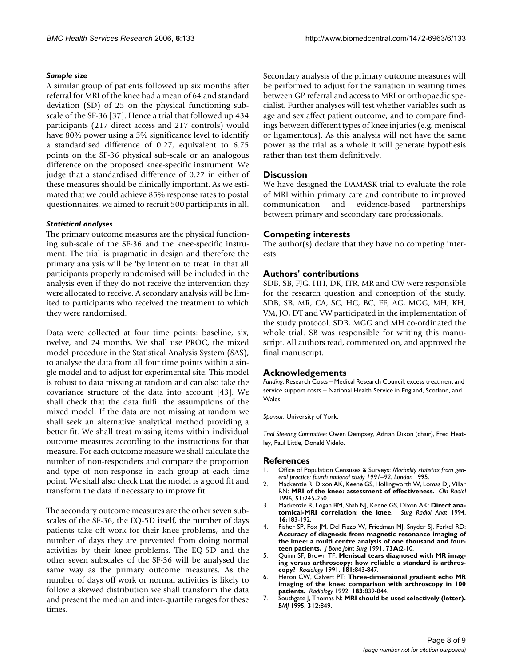#### *Sample size*

A similar group of patients followed up six months after referral for MRI of the knee had a mean of 64 and standard deviation (SD) of 25 on the physical functioning subscale of the SF-36 [37]. Hence a trial that followed up 434 participants (217 direct access and 217 controls) would have 80% power using a 5% significance level to identify a standardised difference of 0.27, equivalent to 6.75 points on the SF-36 physical sub-scale or an analogous difference on the proposed knee-specific instrument. We judge that a standardised difference of 0.27 in either of these measures should be clinically important. As we estimated that we could achieve 85% response rates to postal questionnaires, we aimed to recruit 500 participants in all.

#### *Statistical analyses*

The primary outcome measures are the physical functioning sub-scale of the SF-36 and the knee-specific instrument. The trial is pragmatic in design and therefore the primary analysis will be 'by intention to treat' in that all participants properly randomised will be included in the analysis even if they do not receive the intervention they were allocated to receive. A secondary analysis will be limited to participants who received the treatment to which they were randomised.

Data were collected at four time points: baseline, six, twelve, and 24 months. We shall use PROC, the mixed model procedure in the Statistical Analysis System (SAS), to analyse the data from all four time points within a single model and to adjust for experimental site. This model is robust to data missing at random and can also take the covariance structure of the data into account [43]. We shall check that the data fulfil the assumptions of the mixed model. If the data are not missing at random we shall seek an alternative analytical method providing a better fit. We shall treat missing items within individual outcome measures according to the instructions for that measure. For each outcome measure we shall calculate the number of non-responders and compare the proportion and type of non-response in each group at each time point. We shall also check that the model is a good fit and transform the data if necessary to improve fit.

The secondary outcome measures are the other seven subscales of the SF-36, the EQ-5D itself, the number of days patients take off work for their knee problems, and the number of days they are prevented from doing normal activities by their knee problems. The EQ-5D and the other seven subscales of the SF-36 will be analysed the same way as the primary outcome measures. As the number of days off work or normal activities is likely to follow a skewed distribution we shall transform the data and present the median and inter-quartile ranges for these times.

Secondary analysis of the primary outcome measures will be performed to adjust for the variation in waiting times between GP referral and access to MRI or orthopaedic specialist. Further analyses will test whether variables such as age and sex affect patient outcome, and to compare findings between different types of knee injuries (e.g. meniscal or ligamentous). As this analysis will not have the same power as the trial as a whole it will generate hypothesis rather than test them definitively.

## **Discussion**

We have designed the DAMASK trial to evaluate the role of MRI within primary care and contribute to improved communication and evidence-based partnerships between primary and secondary care professionals.

## **Competing interests**

The author(s) declare that they have no competing interests.

## **Authors' contributions**

SDB, SB, FJG, HH, DK, ITR, MR and CW were responsible for the research question and conception of the study. SDB, SB, MR, CA, SC, HC, BC, FF, AG, MGG, MH, KH, VM, JO, DT and VW participated in the implementation of the study protocol. SDB, MGG and MH co-ordinated the whole trial. SB was responsible for writing this manuscript. All authors read, commented on, and approved the final manuscript.

## **Acknowledgements**

*Funding:* Research Costs – Medical Research Council; excess treatment and service support costs – National Health Service in England, Scotland, and Wales.

*Sponsor:* University of York.

*Trial Steering Committee:* Owen Dempsey, Adrian Dixon (chair), Fred Heatley, Paul Little, Donald Videlo.

#### **References**

- 1. Office of Population Censuses & Surveys: *Morbidity statistics from general practice: fourth national study 1991–92. London* 1995.
- 2. Mackenzie R, Dixon AK, Keene GS, Hollingworth W, Lomas DJ, Villar RN: **[MRI of the knee: assessment of effectiveness.](http://www.ncbi.nlm.nih.gov/entrez/query.fcgi?cmd=Retrieve&db=PubMed&dopt=Abstract&list_uids=8617035)** *Clin Radiol* 1996, **51:**245-250.
- 3. Mackenzie R, Logan BM, Shah NJ, Keene GS, Dixon AK: **[Direct ana](http://www.ncbi.nlm.nih.gov/entrez/query.fcgi?cmd=Retrieve&db=PubMed&dopt=Abstract&list_uids=7940083)[tomical-MRI correlation: the knee.](http://www.ncbi.nlm.nih.gov/entrez/query.fcgi?cmd=Retrieve&db=PubMed&dopt=Abstract&list_uids=7940083)** *Surg Radiol Anat* 1994, **16:**183-192.
- 4. Fisher SP, Fox JM, Del Pizzo W, Friedman MJ, Snyder SJ, Ferkel RD: **Accuracy of diagnosis from magnetic resonance imaging of the knee: a multi centre analysis of one thousand and fourteen patients.** *J Bone Joint Surg* 1991, **73A:**2-10.
- 5. Quinn SF, Brown TF: **[Meniscal tears diagnosed with MR imag](http://www.ncbi.nlm.nih.gov/entrez/query.fcgi?cmd=Retrieve&db=PubMed&dopt=Abstract&list_uids=1947108)[ing versus arthroscopy: how reliable a standard is arthros](http://www.ncbi.nlm.nih.gov/entrez/query.fcgi?cmd=Retrieve&db=PubMed&dopt=Abstract&list_uids=1947108)[copy?](http://www.ncbi.nlm.nih.gov/entrez/query.fcgi?cmd=Retrieve&db=PubMed&dopt=Abstract&list_uids=1947108)** *Radiology* 1991, **181:**843-847.
- 6. Heron CW, Calvert PT: **[Three-dimensional gradient echo MR](http://www.ncbi.nlm.nih.gov/entrez/query.fcgi?cmd=Retrieve&db=PubMed&dopt=Abstract&list_uids=1584944) [imaging of the knee: comparison with arthroscopy in 100](http://www.ncbi.nlm.nih.gov/entrez/query.fcgi?cmd=Retrieve&db=PubMed&dopt=Abstract&list_uids=1584944) [patients.](http://www.ncbi.nlm.nih.gov/entrez/query.fcgi?cmd=Retrieve&db=PubMed&dopt=Abstract&list_uids=1584944)** *Radiology* 1992, **183:**839-844.
- 7. Southgate J, Thomas N: **MRI should be used selectively (letter).** *BMJ* 1995, **312:**849.